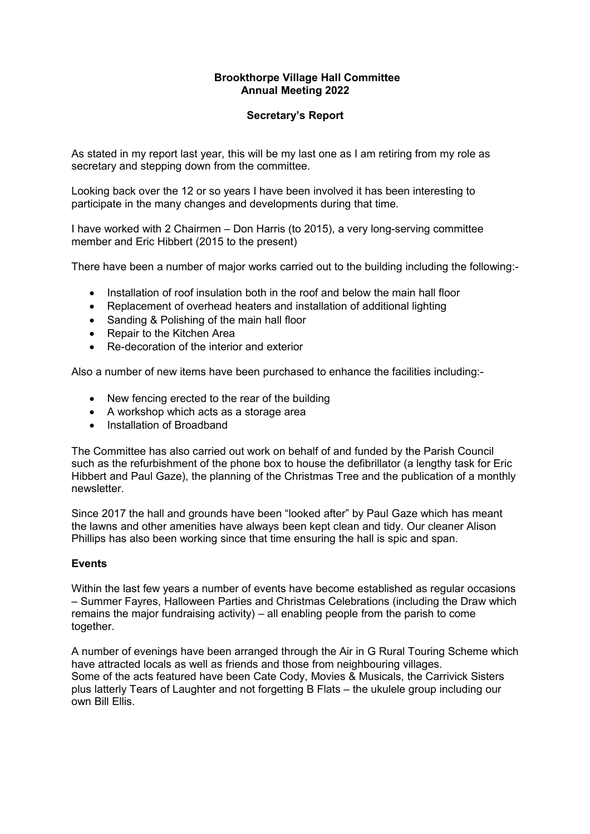## **Brookthorpe Village Hall Committee Annual Meeting 2022**

# **Secretary's Report**

As stated in my report last year, this will be my last one as I am retiring from my role as secretary and stepping down from the committee.

Looking back over the 12 or so years I have been involved it has been interesting to participate in the many changes and developments during that time.

I have worked with 2 Chairmen – Don Harris (to 2015), a very long-serving committee member and Eric Hibbert (2015 to the present)

There have been a number of major works carried out to the building including the following:-

- Installation of roof insulation both in the roof and below the main hall floor
- Replacement of overhead heaters and installation of additional lighting
- Sanding & Polishing of the main hall floor
- Repair to the Kitchen Area
- Re-decoration of the interior and exterior

Also a number of new items have been purchased to enhance the facilities including:-

- New fencing erected to the rear of the building
- A workshop which acts as a storage area
- Installation of Broadband

The Committee has also carried out work on behalf of and funded by the Parish Council such as the refurbishment of the phone box to house the defibrillator (a lengthy task for Eric Hibbert and Paul Gaze), the planning of the Christmas Tree and the publication of a monthly newsletter.

Since 2017 the hall and grounds have been "looked after" by Paul Gaze which has meant the lawns and other amenities have always been kept clean and tidy. Our cleaner Alison Phillips has also been working since that time ensuring the hall is spic and span.

## **Events**

Within the last few years a number of events have become established as regular occasions – Summer Fayres, Halloween Parties and Christmas Celebrations (including the Draw which remains the major fundraising activity) – all enabling people from the parish to come together.

A number of evenings have been arranged through the Air in G Rural Touring Scheme which have attracted locals as well as friends and those from neighbouring villages. Some of the acts featured have been Cate Cody, Movies & Musicals, the Carrivick Sisters plus latterly Tears of Laughter and not forgetting B Flats – the ukulele group including our own Bill Ellis.